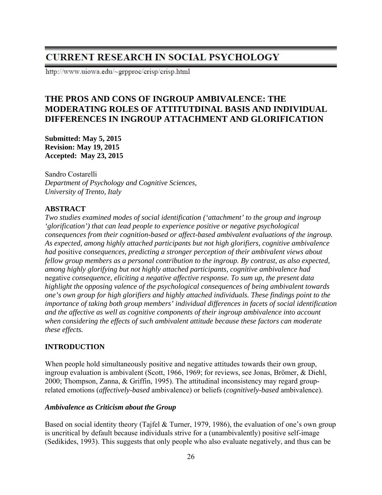# **CURRENT RESEARCH IN SOCIAL PSYCHOLOGY**

http://www.uiowa.edu/~grpproc/crisp/crisp.html

# **THE PROS AND CONS OF INGROUP AMBIVALENCE: THE MODERATING ROLES OF ATTITUTDINAL BASIS AND INDIVIDUAL DIFFERENCES IN INGROUP ATTACHMENT AND GLORIFICATION**

**Submitted: May 5, 2015 Revision: May 19, 2015 Accepted: May 23, 2015** 

Sandro Costarelli *Department of Psychology and Cognitive Sciences, University of Trento, Italy* 

## **ABSTRACT**

*Two studies examined modes of social identification ('attachment' to the group and ingroup 'glorification') that can lead people to experience positive or negative psychological consequences from their cognition-based or affect-based ambivalent evaluations of the ingroup. As expected, among highly attached participants but not high glorifiers, cognitive ambivalence had* positive *consequences, predicting a stronger perception of their ambivalent views about fellow group members as a personal contribution to the ingroup. By contrast, as also expected, among highly glorifying but not highly attached participants, cognitive ambivalence had*  negative *consequence, eliciting a negative affective response. To sum up, the present data highlight the opposing valence of the psychological consequences of being ambivalent towards one's own group for high glorifiers and highly attached individuals. These findings point to the importance of taking both group members' individual differences in facets of social identification and the affective as well as cognitive components of their ingroup ambivalence into account when considering the effects of such ambivalent attitude because these factors can moderate these effects.* 

## **INTRODUCTION**

When people hold simultaneously positive and negative attitudes towards their own group, ingroup evaluation is ambivalent (Scott, 1966, 1969; for reviews, see Jonas, Brömer, & Diehl, 2000; Thompson, Zanna, & Griffin, 1995). The attitudinal inconsistency may regard grouprelated emotions (*affectively-based* ambivalence) or beliefs (*cognitively-based* ambivalence).

### *Ambivalence as Criticism about the Group*

Based on social identity theory (Tajfel & Turner, 1979, 1986), the evaluation of one's own group is uncritical by default because individuals strive for a (unambivalently) positive self-image (Sedikides, 1993). This suggests that only people who also evaluate negatively, and thus can be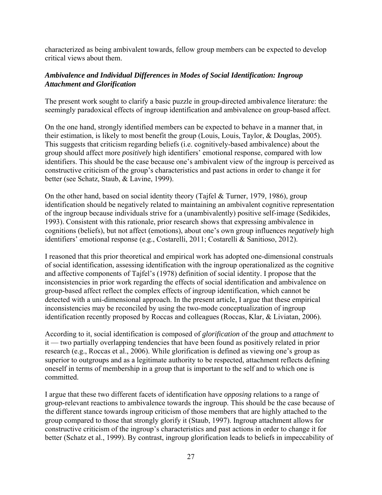characterized as being ambivalent towards, fellow group members can be expected to develop critical views about them.

## *Ambivalence and Individual Differences in Modes of Social Identification: Ingroup Attachment and Glorification*

The present work sought to clarify a basic puzzle in group-directed ambivalence literature: the seemingly paradoxical effects of ingroup identification and ambivalence on group-based affect.

On the one hand, strongly identified members can be expected to behave in a manner that, in their estimation, is likely to most benefit the group (Louis, Louis, Taylor, & Douglas, 2005). This suggests that criticism regarding beliefs (i.e. cognitively-based ambivalence) about the group should affect more *positively* high identifiers' emotional response, compared with low identifiers. This should be the case because one's ambivalent view of the ingroup is perceived as constructive criticism of the group's characteristics and past actions in order to change it for better (see Schatz, Staub, & Lavine, 1999).

On the other hand, based on social identity theory (Tajfel & Turner, 1979, 1986), group identification should be negatively related to maintaining an ambivalent cognitive representation of the ingroup because individuals strive for a (unambivalently) positive self-image (Sedikides, 1993). Consistent with this rationale, prior research shows that expressing ambivalence in cognitions (beliefs), but not affect (emotions), about one's own group influences *negatively* high identifiers' emotional response (e.g., Costarelli, 2011; Costarelli & Sanitioso, 2012).

I reasoned that this prior theoretical and empirical work has adopted one-dimensional construals of social identification, assessing identification with the ingroup operationalized as the cognitive and affective components of Tajfel's (1978) definition of social identity. I propose that the inconsistencies in prior work regarding the effects of social identification and ambivalence on group-based affect reflect the complex effects of ingroup identification, which cannot be detected with a uni-dimensional approach. In the present article, I argue that these empirical inconsistencies may be reconciled by using the two-mode conceptualization of ingroup identification recently proposed by Roccas and colleagues (Roccas, Klar, & Liviatan, 2006).

According to it, social identification is composed of *glorification* of the group and *attachment* to it — two partially overlapping tendencies that have been found as positively related in prior research (e.g., Roccas et al., 2006). While glorification is defined as viewing one's group as superior to outgroups and as a legitimate authority to be respected, attachment reflects defining oneself in terms of membership in a group that is important to the self and to which one is committed.

I argue that these two different facets of identification have *opposing* relations to a range of group-relevant reactions to ambivalence towards the ingroup. This should be the case because of the different stance towards ingroup criticism of those members that are highly attached to the group compared to those that strongly glorify it (Staub, 1997). Ingroup attachment allows for constructive criticism of the ingroup's characteristics and past actions in order to change it for better (Schatz et al., 1999). By contrast, ingroup glorification leads to beliefs in impeccability of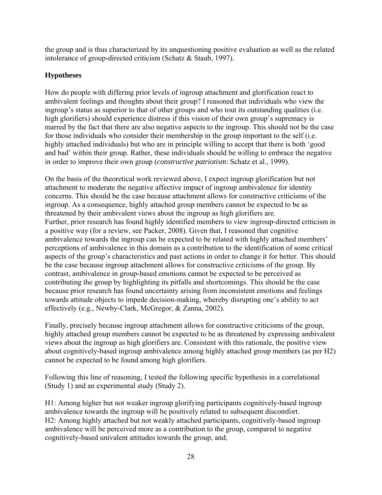the group and is thus characterized by its unquestioning positive evaluation as well as the related intolerance of group-directed criticism (Schatz & Staub, 1997).

## **Hypotheses**

How do people with differing prior levels of ingroup attachment and glorification react to ambivalent feelings and thoughts about their group? I reasoned that individuals who view the ingroup's status as superior to that of other groups and who tout its outstanding qualities (i.e. high glorifiers) should experience distress if this vision of their own group's supremacy is marred by the fact that there are also negative aspects to the ingroup. This should not be the case for those individuals who consider their membership in the group important to the self (i.e. highly attached individuals) but who are in principle willing to accept that there is both 'good and bad' within their group. Rather, these individuals should be willing to embrace the negative in order to improve their own group (*constructive patriotism*: Schatz et al., 1999).

On the basis of the theoretical work reviewed above, I expect ingroup glorification but not attachment to moderate the negative affective impact of ingroup ambivalence for identity concerns. This should be the case because attachment allows for constructive criticisms of the ingroup. As a consequence, highly attached group members cannot be expected to be as threatened by their ambivalent views about the ingroup as high glorifiers are. Further, prior research has found highly identified members to view ingroup-directed criticism in a positive way (for a review, see Packer, 2008). Given that, I reasoned that cognitive ambivalence towards the ingroup can be expected to be related with highly attached members' perceptions of ambivalence in this domain as a contribution to the identification of some critical aspects of the group's characteristics and past actions in order to change it for better. This should be the case because ingroup attachment allows for constructive criticisms of the group. By contrast, ambivalence in group-based emotions cannot be expected to be perceived as contributing the group by highlighting its pitfalls and shortcomings. This should be the case because prior research has found uncertainty arising from inconsistent emotions and feelings towards attitude objects to impede decision-making, whereby disrupting one's ability to act effectively (e.g., Newby-Clark, McGregor, & Zanna, 2002).

Finally, precisely because ingroup attachment allows for constructive criticisms of the group, highly attached group members cannot be expected to be as threatened by expressing ambivalent views about the ingroup as high glorifiers are. Consistent with this rationale, the positive view about cognitively-based ingroup ambivalence among highly attached group members (as per H2) cannot be expected to be found among high glorifiers.

Following this line of reasoning, I tested the following specific hypothesis in a correlational (Study 1) and an experimental study (Study 2).

H1: Among higher but not weaker ingroup glorifying participants cognitively-based ingroup ambivalence towards the ingroup will be positively related to subsequent discomfort. H2: Among highly attached but not weakly attached participants, cognitively-based ingroup ambivalence will be perceived more as a contribution to the group, compared to negative cognitively-based univalent attitudes towards the group, and;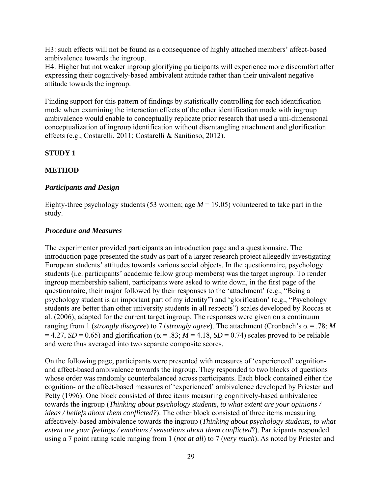H3: such effects will not be found as a consequence of highly attached members' affect-based ambivalence towards the ingroup.

H4: Higher but not weaker ingroup glorifying participants will experience more discomfort after expressing their cognitively-based ambivalent attitude rather than their univalent negative attitude towards the ingroup.

Finding support for this pattern of findings by statistically controlling for each identification mode when examining the interaction effects of the other identification mode with ingroup ambivalence would enable to conceptually replicate prior research that used a uni-dimensional conceptualization of ingroup identification without disentangling attachment and glorification effects (e.g., Costarelli, 2011; Costarelli & Sanitioso, 2012).

### **STUDY 1**

### **METHOD**

### *Participants and Design*

Eighty-three psychology students (53 women; age  $M = 19.05$ ) volunteered to take part in the study.

#### *Procedure and Measures*

The experimenter provided participants an introduction page and a questionnaire. The introduction page presented the study as part of a larger research project allegedly investigating European students' attitudes towards various social objects. In the questionnaire, psychology students (i.e. participants' academic fellow group members) was the target ingroup. To render ingroup membership salient, participants were asked to write down, in the first page of the questionnaire, their major followed by their responses to the 'attachment' (e.g., "Being a psychology student is an important part of my identity") and 'glorification' (e.g., "Psychology students are better than other university students in all respects") scales developed by Roccas et al. (2006), adapted for the current target ingroup. The responses were given on a continuum ranging from 1 (*strongly disagree*) to 7 (*strongly agree*). The attachment (Cronbach's  $\alpha$  = .78; *M*  $= 4.27$ , *SD* = 0.65) and glorification ( $\alpha$  = .83; *M* = 4.18, *SD* = 0.74) scales proved to be reliable and were thus averaged into two separate composite scores.

On the following page, participants were presented with measures of 'experienced' cognitionand affect-based ambivalence towards the ingroup. They responded to two blocks of questions whose order was randomly counterbalanced across participants. Each block contained either the cognition- or the affect-based measures of 'experienced' ambivalence developed by Priester and Petty (1996). One block consisted of three items measuring cognitively-based ambivalence towards the ingroup (*Thinking about psychology students, to what extent are your opinions / ideas / beliefs about them conflicted?*). The other block consisted of three items measuring affectively-based ambivalence towards the ingroup (*Thinking about psychology students, to what extent are your feelings / emotions / sensations about them conflicted*?). Participants responded using a 7 point rating scale ranging from 1 (*not at all*) to 7 (*very much*). As noted by Priester and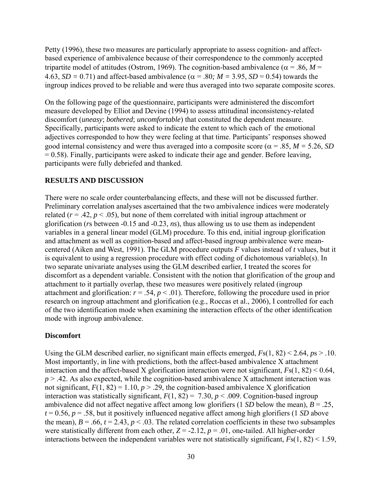Petty (1996), these two measures are particularly appropriate to assess cognition- and affectbased experience of ambivalence because of their correspondence to the commonly accepted tripartite model of attitudes (Ostrom, 1969). The cognition-based ambivalence ( $\alpha$  = .86*, M* = 4.63,  $SD = 0.71$ ) and affect-based ambivalence ( $\alpha = .80$ ;  $M = 3.95$ ,  $SD = 0.54$ ) towards the ingroup indices proved to be reliable and were thus averaged into two separate composite scores.

On the following page of the questionnaire, participants were administered the discomfort measure developed by Elliot and Devine (1994) to assess attitudinal inconsistency-related discomfort (*uneasy*; *bothered*; *uncomfortable*) that constituted the dependent measure. Specifically, participants were asked to indicate the extent to which each of the emotional adjectives corresponded to how they were feeling at that time. Participants' responses showed good internal consistency and were thus averaged into a composite score ( $\alpha$  = .85, *M* = 5.26, *SD* = 0.58). Finally, participants were asked to indicate their age and gender. Before leaving, participants were fully debriefed and thanked.

#### **RESULTS AND DISCUSSION**

There were no scale order counterbalancing effects, and these will not be discussed further. Preliminary correlation analyses ascertained that the two ambivalence indices were moderately related ( $r = .42$ ,  $p < .05$ ), but none of them correlated with initial ingroup attachment or glorification (*r*s between -0.15 and -0.23, *ns*), thus allowing us to use them as independent variables in a general linear model (GLM) procedure. To this end, initial ingroup glorification and attachment as well as cognition-based and affect-based ingroup ambivalence were meancentered (Aiken and West, 1991). The GLM procedure outputs *F* values instead of *t* values, but it is equivalent to using a regression procedure with effect coding of dichotomous variable(s). In two separate univariate analyses using the GLM described earlier, I treated the scores for discomfort as a dependent variable. Consistent with the notion that glorification of the group and attachment to it partially overlap, these two measures were positively related (ingroup attachment and glorification:  $r = .54$ ,  $p < .01$ ). Therefore, following the procedure used in prior research on ingroup attachment and glorification (e.g., Roccas et al., 2006), I controlled for each of the two identification mode when examining the interaction effects of the other identification mode with ingroup ambivalence.

#### **Discomfort**

Using the GLM described earlier, no significant main effects emerged, *F*s(1, 82) < 2.64, *p*s > .10. Most importantly, in line with predictions, both the affect-based ambivalence X attachment interaction and the affect-based X glorification interaction were not significant, *F*s(1, 82) < 0.64,  $p > .42$ . As also expected, while the cognition-based ambivalence X attachment interaction was not significant,  $F(1, 82) = 1.10$ ,  $p > .29$ , the cognition-based ambivalence X glorification interaction was statistically significant,  $F(1, 82) = 7.30, p < .009$ . Cognition-based ingroup ambivalence did not affect negative affect among low glorifiers (1 *SD* below the mean),  $B = .25$ ,  $t = 0.56$ ,  $p = .58$ , but it positively influenced negative affect among high glorifiers (1 *SD* above the mean),  $B = .66$ ,  $t = 2.43$ ,  $p < .03$ . The related correlation coefficients in these two subsamples were statistically different from each other,  $Z = -2.12$ ,  $p = .01$ , one-tailed. All higher-order interactions between the independent variables were not statistically significant, *F*s(1, 82) < 1.59,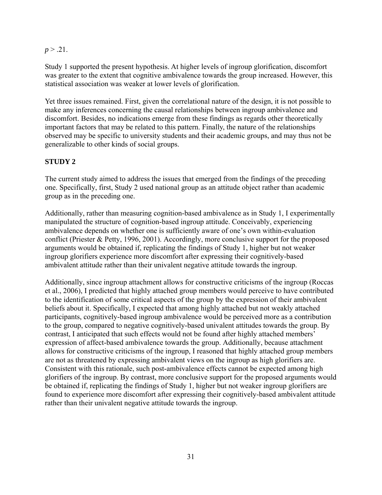## $p > .21$ .

Study 1 supported the present hypothesis. At higher levels of ingroup glorification, discomfort was greater to the extent that cognitive ambivalence towards the group increased. However, this statistical association was weaker at lower levels of glorification.

Yet three issues remained. First, given the correlational nature of the design, it is not possible to make any inferences concerning the causal relationships between ingroup ambivalence and discomfort. Besides, no indications emerge from these findings as regards other theoretically important factors that may be related to this pattern. Finally, the nature of the relationships observed may be specific to university students and their academic groups, and may thus not be generalizable to other kinds of social groups.

## **STUDY 2**

The current study aimed to address the issues that emerged from the findings of the preceding one. Specifically, first, Study 2 used national group as an attitude object rather than academic group as in the preceding one.

Additionally, rather than measuring cognition-based ambivalence as in Study 1, I experimentally manipulated the structure of cognition-based ingroup attitude. Conceivably, experiencing ambivalence depends on whether one is sufficiently aware of one's own within-evaluation conflict (Priester & Petty, 1996, 2001). Accordingly, more conclusive support for the proposed arguments would be obtained if, replicating the findings of Study 1, higher but not weaker ingroup glorifiers experience more discomfort after expressing their cognitively-based ambivalent attitude rather than their univalent negative attitude towards the ingroup.

Additionally, since ingroup attachment allows for constructive criticisms of the ingroup (Roccas et al., 2006), I predicted that highly attached group members would perceive to have contributed to the identification of some critical aspects of the group by the expression of their ambivalent beliefs about it. Specifically, I expected that among highly attached but not weakly attached participants, cognitively-based ingroup ambivalence would be perceived more as a contribution to the group, compared to negative cognitively-based univalent attitudes towards the group. By contrast, I anticipated that such effects would not be found after highly attached members' expression of affect-based ambivalence towards the group. Additionally, because attachment allows for constructive criticisms of the ingroup, I reasoned that highly attached group members are not as threatened by expressing ambivalent views on the ingroup as high glorifiers are. Consistent with this rationale, such post-ambivalence effects cannot be expected among high glorifiers of the ingroup. By contrast, more conclusive support for the proposed arguments would be obtained if, replicating the findings of Study 1, higher but not weaker ingroup glorifiers are found to experience more discomfort after expressing their cognitively-based ambivalent attitude rather than their univalent negative attitude towards the ingroup.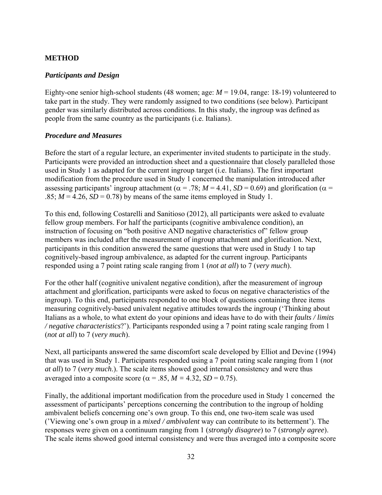## **METHOD**

## *Participants and Design*

Eighty-one senior high-school students (48 women; age: *M* = 19.04, range: 18-19) volunteered to take part in the study. They were randomly assigned to two conditions (see below). Participant gender was similarly distributed across conditions. In this study, the ingroup was defined as people from the same country as the participants (i.e. Italians).

## *Procedure and Measures*

Before the start of a regular lecture, an experimenter invited students to participate in the study. Participants were provided an introduction sheet and a questionnaire that closely paralleled those used in Study 1 as adapted for the current ingroup target (i.e. Italians). The first important modification from the procedure used in Study 1 concerned the manipulation introduced after assessing participants' ingroup attachment ( $\alpha$  = .78; *M* = 4.41, *SD* = 0.69) and glorification ( $\alpha$  = .85;  $M = 4.26$ ,  $SD = 0.78$ ) by means of the same items employed in Study 1.

To this end, following Costarelli and Sanitioso (2012), all participants were asked to evaluate fellow group members. For half the participants (cognitive ambivalence condition), an instruction of focusing on "both positive AND negative characteristics of" fellow group members was included after the measurement of ingroup attachment and glorification. Next, participants in this condition answered the same questions that were used in Study 1 to tap cognitively-based ingroup ambivalence, as adapted for the current ingroup. Participants responded using a 7 point rating scale ranging from 1 (*not at all*) to 7 (*very much*).

For the other half (cognitive univalent negative condition), after the measurement of ingroup attachment and glorification, participants were asked to focus on negative characteristics of the ingroup). To this end, participants responded to one block of questions containing three items measuring cognitively-based univalent negative attitudes towards the ingroup ('Thinking about Italians as a whole, to what extent do your opinions and ideas have to do with their *faults / limits / negative characteristics*?'). Participants responded using a 7 point rating scale ranging from 1 (*not at all*) to 7 (*very much*).

Next, all participants answered the same discomfort scale developed by Elliot and Devine (1994) that was used in Study 1. Participants responded using a 7 point rating scale ranging from 1 (*not at all*) to 7 (*very much*.). The scale items showed good internal consistency and were thus averaged into a composite score ( $\alpha$  = .85, *M* = 4.32, *SD* = 0.75).

Finally, the additional important modification from the procedure used in Study 1 concerned the assessment of participants' perceptions concerning the contribution to the ingroup of holding ambivalent beliefs concerning one's own group. To this end, one two-item scale was used ('Viewing one's own group in a *mixed / ambivalent* way can contribute to its betterment'). The responses were given on a continuum ranging from 1 (*strongly disagree*) to 7 (*strongly agree*). The scale items showed good internal consistency and were thus averaged into a composite score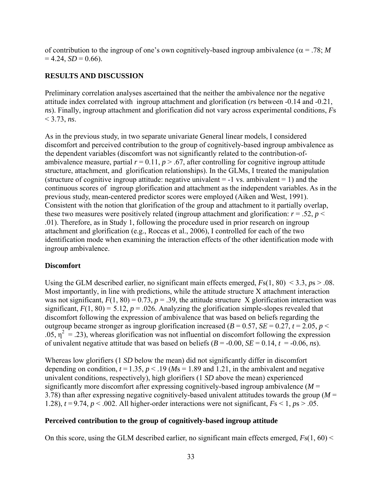of contribution to the ingroup of one's own cognitively-based ingroup ambivalence ( $\alpha$  = .78; *M*  $= 4.24, SD = 0.66$ .

### **RESULTS AND DISCUSSION**

Preliminary correlation analyses ascertained that the neither the ambivalence nor the negative attitude index correlated with ingroup attachment and glorification (*r*s between -0.14 and -0.21, *ns*). Finally, ingroup attachment and glorification did not vary across experimental conditions, *F*s  $<$  3.73, *ns*.

As in the previous study, in two separate univariate General linear models, I considered discomfort and perceived contribution to the group of cognitively-based ingroup ambivalence as the dependent variables (discomfort was not significantly related to the contribution-ofambivalence measure, partial  $r = 0.11$ ,  $p > .67$ , after controlling for cognitive ingroup attitude structure, attachment, and glorification relationships). In the GLMs, I treated the manipulation (structure of cognitive ingroup attitude: negative univalent  $= -1$  vs. ambivalent  $= 1$ ) and the continuous scores of ingroup glorification and attachment as the independent variables. As in the previous study, mean-centered predictor scores were employed (Aiken and West, 1991). Consistent with the notion that glorification of the group and attachment to it partially overlap, these two measures were positively related (ingroup attachment and glorification:  $r = .52$ ,  $p <$ .01). Therefore, as in Study 1, following the procedure used in prior research on ingroup attachment and glorification (e.g., Roccas et al., 2006), I controlled for each of the two identification mode when examining the interaction effects of the other identification mode with ingroup ambivalence.

#### **Discomfort**

Using the GLM described earlier, no significant main effects emerged, *F*s(1, 80) < 3.3, *p*s > .08. Most importantly, in line with predictions, while the attitude structure X attachment interaction was not significant,  $F(1, 80) = 0.73$ ,  $p = .39$ , the attitude structure X glorification interaction was significant,  $F(1, 80) = 5.12$ ,  $p = .026$ . Analyzing the glorification simple-slopes revealed that discomfort following the expression of ambivalence that was based on beliefs regarding the outgroup became stronger as ingroup glorification increased ( $B = 0.57$ ,  $SE = 0.27$ ,  $t = 2.05$ ,  $p <$  $(0.05, \eta^2 = 0.23)$ , whereas glorification was not influential on discomfort following the expression of univalent negative attitude that was based on beliefs  $(B = -0.00, SE = 0.14, t = -0.06, ns)$ .

Whereas low glorifiers (1 *SD* below the mean) did not significantly differ in discomfort depending on condition,  $t = 1.35$ ,  $p < 0.19$  ( $Ms = 1.89$  and 1.21, in the ambivalent and negative univalent conditions, respectively), high glorifiers (1 *SD* above the mean) experienced significantly more discomfort after expressing cognitively-based ingroup ambivalence (*M* = 3.78) than after expressing negative cognitively-based univalent attitudes towards the group (*M* = 1.28),  $t = 9.74$ ,  $p < .002$ . All higher-order interactions were not significant,  $Fs < 1$ ,  $ps > .05$ .

#### **Perceived contribution to the group of cognitively-based ingroup attitude**

On this score, using the GLM described earlier, no significant main effects emerged,  $Fs(1, 60)$  <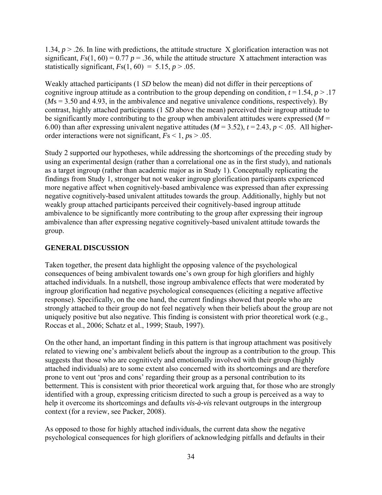1.34, *p* > .26. In line with predictions, the attitude structure X glorification interaction was not significant,  $Fs(1, 60) = 0.77$   $p = 0.36$ , while the attitude structure X attachment interaction was statistically significant,  $Fs(1, 60) = 5.15$ ,  $p > .05$ .

Weakly attached participants (1 *SD* below the mean) did not differ in their perceptions of cognitive ingroup attitude as a contribution to the group depending on condition,  $t = 1.54$ ,  $p > 0.17$ (*M*s = 3.50 and 4.93, in the ambivalence and negative univalence conditions, respectively). By contrast, highly attached participants (1 *SD* above the mean) perceived their ingroup attitude to be significantly more contributing to the group when ambivalent attitudes were expressed  $(M =$ 6.00) than after expressing univalent negative attitudes ( $M = 3.52$ ),  $t = 2.43$ ,  $p < .05$ . All higherorder interactions were not significant, *F*s < 1, *p*s > .05.

Study 2 supported our hypotheses, while addressing the shortcomings of the preceding study by using an experimental design (rather than a correlational one as in the first study), and nationals as a target ingroup (rather than academic major as in Study 1). Conceptually replicating the findings from Study 1, stronger but not weaker ingroup glorification participants experienced more negative affect when cognitively-based ambivalence was expressed than after expressing negative cognitively-based univalent attitudes towards the group. Additionally, highly but not weakly group attached participants perceived their cognitively-based ingroup attitude ambivalence to be significantly more contributing to the group after expressing their ingroup ambivalence than after expressing negative cognitively-based univalent attitude towards the group.

### **GENERAL DISCUSSION**

Taken together, the present data highlight the opposing valence of the psychological consequences of being ambivalent towards one's own group for high glorifiers and highly attached individuals. In a nutshell, those ingroup ambivalence effects that were moderated by ingroup glorification had negative psychological consequences (eliciting a negative affective response). Specifically, on the one hand, the current findings showed that people who are strongly attached to their group do not feel negatively when their beliefs about the group are not uniquely positive but also negative. This finding is consistent with prior theoretical work (e.g., Roccas et al., 2006; Schatz et al., 1999; Staub, 1997).

On the other hand, an important finding in this pattern is that ingroup attachment was positively related to viewing one's ambivalent beliefs about the ingroup as a contribution to the group. This suggests that those who are cognitively and emotionally involved with their group (highly attached individuals) are to some extent also concerned with its shortcomings and are therefore prone to vent out 'pros and cons' regarding their group as a personal contribution to its betterment. This is consistent with prior theoretical work arguing that, for those who are strongly identified with a group, expressing criticism directed to such a group is perceived as a way to help it overcome its shortcomings and defaults *vis-à-vis* relevant outgroups in the intergroup context (for a review, see Packer, 2008).

As opposed to those for highly attached individuals, the current data show the negative psychological consequences for high glorifiers of acknowledging pitfalls and defaults in their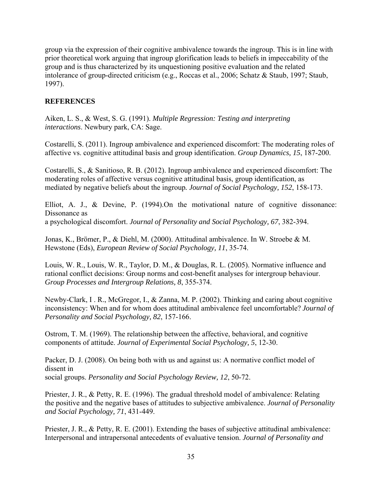group via the expression of their cognitive ambivalence towards the ingroup. This is in line with prior theoretical work arguing that ingroup glorification leads to beliefs in impeccability of the group and is thus characterized by its unquestioning positive evaluation and the related intolerance of group-directed criticism (e.g., Roccas et al., 2006; Schatz & Staub, 1997; Staub, 1997).

### **REFERENCES**

Aiken, L. S., & West, S. G. (1991). *Multiple Regression: Testing and interpreting interactions*. Newbury park, CA: Sage.

Costarelli, S. (2011). Ingroup ambivalence and experienced discomfort: The moderating roles of affective vs. cognitive attitudinal basis and group identification. *Group Dynamics, 15*, 187-200.

Costarelli, S., & Sanitioso, R. B. (2012). Ingroup ambivalence and experienced discomfort: The moderating roles of affective versus cognitive attitudinal basis, group identification, as mediated by negative beliefs about the ingroup*. Journal of Social Psychology, 152*, 158-173.

Elliot, A. J., & Devine, P. (1994). On the motivational nature of cognitive dissonance: Dissonance as a psychological discomfort. *Journal of Personality and Social Psychology, 67*, 382-394.

Jonas, K., Brömer, P., & Diehl, M. (2000). Attitudinal ambivalence. In W. Stroebe & M. Hewstone (Eds), *European Review of Social Psychology, 11*, 35-74.

Louis, W. R., Louis, W. R., Taylor, D. M., & Douglas, R. L. (2005). Normative influence and rational conflict decisions: Group norms and cost-benefit analyses for intergroup behaviour. *Group Processes and Intergroup Relations, 8*, 355-374.

Newby-Clark, I . R., McGregor, I., & Zanna, M. P. (2002). Thinking and caring about cognitive inconsistency: When and for whom does attitudinal ambivalence feel uncomfortable? *Journal of Personality and Social Psychology, 82*, 157-166.

Ostrom, T. M. (1969). The relationship between the affective, behavioral, and cognitive components of attitude. *Journal of Experimental Social Psychology, 5*, 12-30.

Packer, D. J. (2008). On being both with us and against us: A normative conflict model of dissent in

social groups. *Personality and Social Psychology Review, 12*, 50-72.

Priester, J. R., & Petty, R. E. (1996). The gradual threshold model of ambivalence: Relating the positive and the negative bases of attitudes to subjective ambivalence. *Journal of Personality and Social Psychology, 71*, 431-449.

Priester, J. R., & Petty, R. E. (2001). Extending the bases of subjective attitudinal ambivalence: Interpersonal and intrapersonal antecedents of evaluative tension. *Journal of Personality and*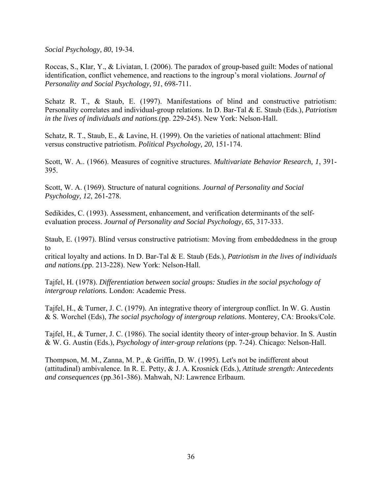*Social Psychology, 80*, 19-34.

Roccas, S., Klar, Y., & Liviatan, I. (2006). The paradox of group-based guilt: Modes of national identification, conflict vehemence, and reactions to the ingroup's moral violations. *Journal of Personality and Social Psychology, 91*, 698-711.

Schatz R. T., & Staub, E. (1997). Manifestations of blind and constructive patriotism: Personality correlates and individual-group relations. In D. Bar-Tal & E. Staub (Eds.), *Patriotism in the lives of individuals and nations*.(pp. 229-245). New York: Nelson-Hall.

Schatz, R. T., Staub, E., & Lavine, H. (1999). On the varieties of national attachment: Blind versus constructive patriotism. *Political Psychology, 20*, 151-174.

Scott, W. A.. (1966). Measures of cognitive structures. *Multivariate Behavior Research, 1*, 391- 395.

Scott, W. A. (1969). Structure of natural cognitions. *Journal of Personality and Social Psychology, 12*, 261-278.

Sedikides, C. (1993). Assessment, enhancement, and verification determinants of the selfevaluation process. *Journal of Personality and Social Psychology, 65*, 317-333.

Staub, E. (1997). Blind versus constructive patriotism: Moving from embeddedness in the group to

critical loyalty and actions. In D. Bar-Tal & E. Staub (Eds.), *Patriotism in the lives of individuals and nations*.(pp. 213-228). New York: Nelson-Hall.

Tajfel, H. (1978). *Differentiation between social groups: Studies in the social psychology of intergroup relations.* London: Academic Press.

Tajfel, H., & Turner, J. C. (1979). An integrative theory of intergroup conflict. In W. G. Austin & S. Worchel (Eds), *The social psychology of intergroup relations*. Monterey, CA: Brooks/Cole.

Tajfel, H., & Turner, J. C. (1986). The social identity theory of inter-group behavior. In S. Austin & W. G. Austin (Eds.), *Psychology of inter-group relations* (pp. 7-24). Chicago: Nelson-Hall.

Thompson, M. M., Zanna, M. P., & Griffin, D. W. (1995). Let's not be indifferent about (attitudinal) ambivalence. In R. E. Petty, & J. A. Krosnick (Eds.), *Attitude strength: Antecedents and consequences* (pp.361-386). Mahwah, NJ: Lawrence Erlbaum.